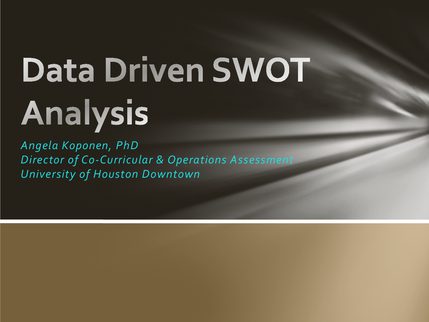# Data Driven SWOT Analysis

*Angela Koponen, PhD Director of Co-Curricular & Operations Assessment University of Houston Downtown*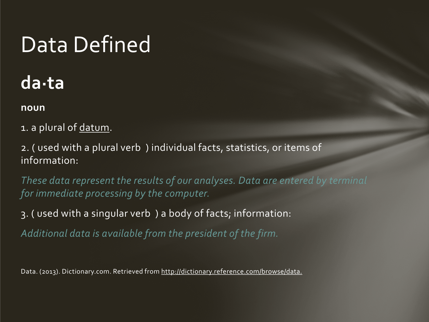## Data Defined

### **da·ta**

#### **noun**

- 1. a plural of datum.
- 2. ( used with a plural verb ) individual facts, statistics, or items of information:

*These data represent the results of our analyses. Data are entered by terminal for immediate processing by the computer.* 

3. ( used with a singular verb ) a body of facts; information:

*Additional data is available from the president of the firm.* 

Data. (2013). Dictionary.com. Retrieved from http://dictionary.reference.com/browse/data.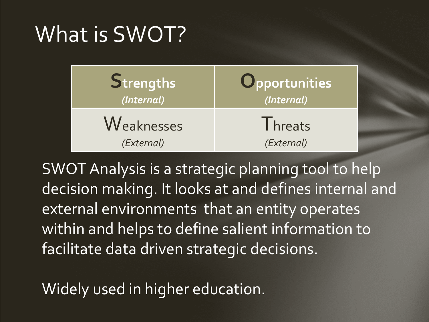### What is SWOT?

| Strengths  | Opportunities   |
|------------|-----------------|
| (Internal) | (Internal)      |
| Weaknesses | <b>I</b> hreats |
| (External) | (External)      |

SWOT Analysis is a strategic planning tool to help decision making. It looks at and defines internal and external environments that an entity operates within and helps to define salient information to facilitate data driven strategic decisions.

Widely used in higher education.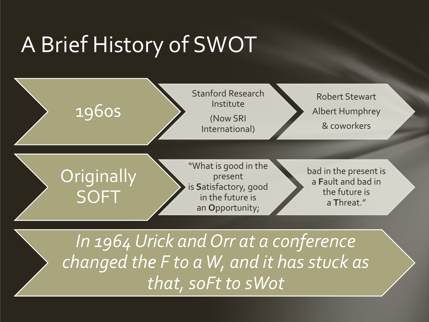# A Brief History of SWOT



*In 1964 Urick and Orr at a conference changed the F to a W, and it has stuck as that,soFt to sWot*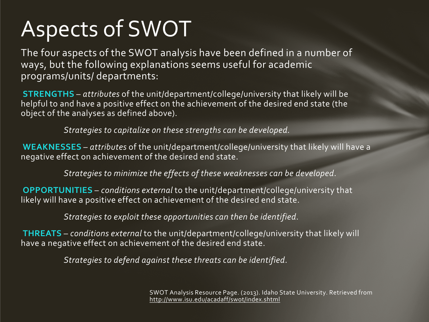# Aspects of SWOT

The four aspects of the SWOT analysis have been defined in a number of ways, but the following explanations seems useful for academic programs/units/ departments:

**STRENGTHS** – *attributes* of the unit/department/college/university that likely will be helpful to and have a positive effect on the achievement of the desired end state (the object of the analyses as defined above).

*Strategies to capitalize on these strengths can be developed.*

**WEAKNESSES** – *attributes* of the unit/department/college/university that likely will have a negative effect on achievement of the desired end state.

*Strategies to minimize the effects of these weaknesses can be developed*.

**OPPORTUNITIES** – *conditions external* to the unit/department/college/university that likely will have a positive effect on achievement of the desired end state.

*Strategies to exploit these opportunities can then be identified*.

**THREATS** – *conditions external* to the unit/department/college/university that likely will have a negative effect on achievement of the desired end state.

*Strategies to defend against these threats can be identified*.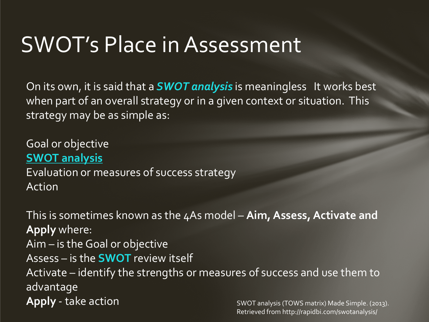### SWOT's Place in Assessment

On its own, it is said that a *SWOT analysis* is meaningless It works best when part of an overall strategy or in a given context or situation. This strategy may be as simple as:

Goal or objective **SWOT analysis** Evaluation or measures of success strategy Action

This is sometimes known as the 4As model – **Aim, Assess, Activate and Apply** where: Aim – is the Goal or objective Assess – is the **SWOT** review itself Activate – identify the strengths or measures of success and use them to advantage **Apply** - take action SWOT analysis (TOWS matrix) Made Simple. (2013).

Retrieved from http://rapidbi.com/swotanalysis/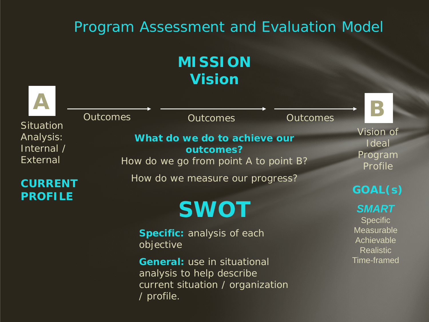#### Program Assessment and Evaluation Model

#### **MISSION Vision**

| <b>Situation</b>                           | <b>Outcomes</b> | <b>Outcomes</b>                                                                                                   | <b>Outcomes</b> | K                                                                               |
|--------------------------------------------|-----------------|-------------------------------------------------------------------------------------------------------------------|-----------------|---------------------------------------------------------------------------------|
| Analysis:<br>Internal /<br><b>External</b> |                 | What do we do to achieve our<br>outcomes?<br>How do we go from point A to point B?                                |                 | Vision of<br>Ideal<br>Program<br>Profile                                        |
| <b>CURRENT</b><br><b>PROFILE</b>           |                 | How do we measure our progress?                                                                                   |                 | GOAL(s)                                                                         |
|                                            |                 | <b>SWOT</b><br>Specific: analysis of each<br>objective                                                            |                 | <b>SMART</b><br><b>Specific</b><br>Measurable<br>Achievable<br><b>Realistic</b> |
|                                            |                 | <b>General:</b> use in situational<br>analysis to help describe<br>current situation / organization<br>/ profile. |                 | <b>Time-framed</b>                                                              |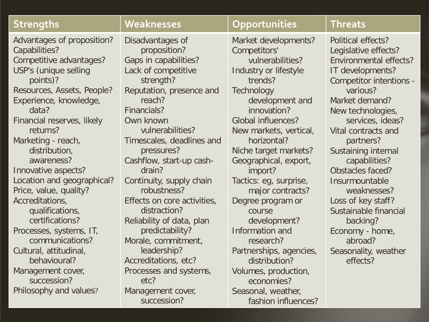| <b>Strengths</b>           | Weaknesses                   | Opportunities             | <b>Threats</b>                 |
|----------------------------|------------------------------|---------------------------|--------------------------------|
| Advantages of proposition? | Disadvantages of             | Market developments?      | Political effects?             |
| Capabilities?              | proposition?                 | Competitors'              | Legislative effects?           |
| Competitive advantages?    | <b>Gaps in capabilities?</b> | vulnerabilities?          | <b>Environmental effects?</b>  |
| USP's (unique selling      | Lack of competitive          | Industry or lifestyle     | IT developments?               |
| points)?                   | strength?                    | trends?                   | <b>Competitor intentions -</b> |
| Resources, Assets, People? | Reputation, presence and     | Technology                | various?                       |
| Experience, knowledge,     | reach?                       | development and           | Market demand?                 |
| data?                      | Financials?                  | innovation?               | New technologies,              |
| Financial reserves, likely | Own known                    | <b>Global influences?</b> | services, ideas?               |
| returns?                   | vulnerabilities?             | New markets, vertical,    | Vital contracts and            |
| Marketing - reach,         | Timescales, deadlines and    | horizontal?               | partners?                      |
| distribution,              | pressures?                   | Niche target markets?     | Sustaining internal            |
| awareness?                 | Cashflow, start-up cash-     | Geographical, export,     | capabilities?                  |
| Innovative aspects?        | drain?                       | import?                   | Obstacles faced?               |
| Location and geographical? | Continuity, supply chain     | Tactics: eg, surprise,    | Insurmountable                 |
| Price, value, quality?     | robustness?                  | major contracts?          | weaknesses?                    |
| Accreditations,            | Effects on core activities,  | Degree program or         | Loss of key staff?             |
| qualifications,            | distraction?                 | course                    | Sustainable financial          |
| certifications?            | Reliability of data, plan    | development?              | backing?                       |
| Processes, systems, IT,    | predictability?              | Information and           | Economy - home,                |
| communications?            | Morale, commitment,          | research?                 | abroad?                        |
| Cultural, attitudinal,     | leadership?                  | Partnerships, agencies,   | Seasonality, weather           |
| behavioural?               | Accreditations, etc?         | distribution?             | effects?                       |
| Management cover,          | Processes and systems,       | Volumes, production,      |                                |
| succession?                | etc?                         | economies?                |                                |
| Philosophy and values?     | Management cover,            | Seasonal, weather,        |                                |
|                            | succession?                  | fashion influences?       |                                |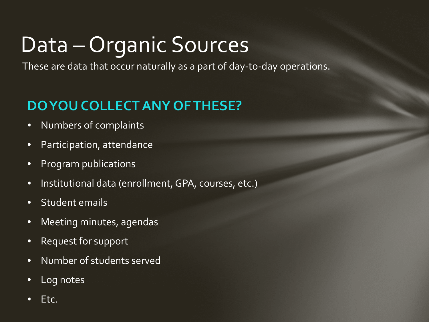# Data – Organic Sources

These are data that occur naturally as a part of day-to-day operations.

#### **DO YOU COLLECT ANY OF THESE?**

- Numbers of complaints
- Participation, attendance
- Program publications
- Institutional data (enrollment, GPA, courses, etc.)
- Student emails
- Meeting minutes, agendas
- Request for support
- Number of students served
- Log notes
- Etc.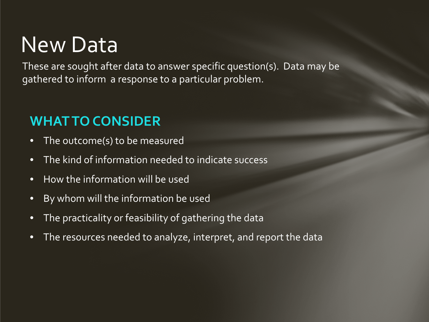### New Data

These are sought after data to answer specific question(s). Data may be gathered to inform a response to a particular problem.

#### **WHAT TO CONSIDER**

- The outcome(s) to be measured
- The kind of information needed to indicate success
- How the information will be used
- By whom will the information be used
- The practicality or feasibility of gathering the data
- The resources needed to analyze, interpret, and report the data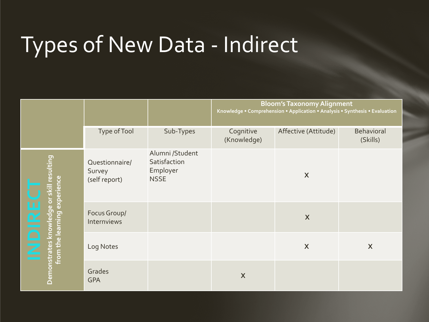# Types of New Data - Indirect

|                                                                                            |                                           |                                                            | <b>Bloom's Taxonomy Alignment</b><br>Knowledge . Comprehension . Application . Analysis . Synthesis . Evaluation |                           |                        |
|--------------------------------------------------------------------------------------------|-------------------------------------------|------------------------------------------------------------|------------------------------------------------------------------------------------------------------------------|---------------------------|------------------------|
|                                                                                            | Type of Tool                              | Sub-Types                                                  | Cognitive<br>(Knowledge)                                                                                         | Affective (Attitude)      | Behavioral<br>(Skills) |
| Demonstrates knowledge or skill resulting<br>from the learning experience<br><b>INDIRE</b> | Questionnaire/<br>Survey<br>(self report) | Alumni /Student<br>Satisfaction<br>Employer<br><b>NSSE</b> |                                                                                                                  | X                         |                        |
|                                                                                            | Focus Group/<br>Internviews               |                                                            |                                                                                                                  | $\boldsymbol{\mathsf{X}}$ |                        |
|                                                                                            | Log Notes                                 |                                                            |                                                                                                                  | $\boldsymbol{\mathsf{X}}$ | X                      |
|                                                                                            | Grades<br><b>GPA</b>                      |                                                            | $\boldsymbol{\mathsf{X}}$                                                                                        |                           |                        |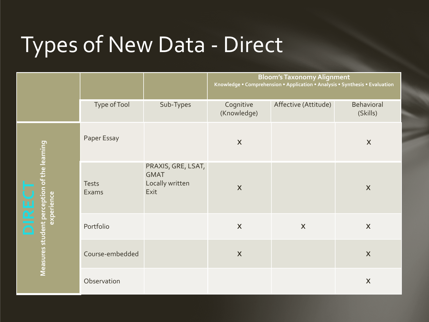# Types of New Data - Direct

|                                                                   |                       |                                                              | <b>Bloom's Taxonomy Alignment</b><br>Knowledge . Comprehension . Application . Analysis . Synthesis . Evaluation |                      |                        |
|-------------------------------------------------------------------|-----------------------|--------------------------------------------------------------|------------------------------------------------------------------------------------------------------------------|----------------------|------------------------|
|                                                                   | Type of Tool          | Sub-Types                                                    | Cognitive<br>(Knowledge)                                                                                         | Affective (Attitude) | Behavioral<br>(Skills) |
| Measures student perception of the learning<br>experience<br>DIRE | Paper Essay           |                                                              | $\mathsf{X}$                                                                                                     |                      | X                      |
|                                                                   | <b>Tests</b><br>Exams | PRAXIS, GRE, LSAT,<br><b>GMAT</b><br>Locally written<br>Exit | $\mathsf{X}$                                                                                                     |                      | $\boldsymbol{X}$       |
|                                                                   | Portfolio             |                                                              | $\mathsf{X}$                                                                                                     | X                    | $\boldsymbol{X}$       |
|                                                                   | Course-embedded       |                                                              | $\mathsf{X}$                                                                                                     |                      | $\boldsymbol{X}$       |
|                                                                   | Observation           |                                                              |                                                                                                                  |                      | $\boldsymbol{X}$       |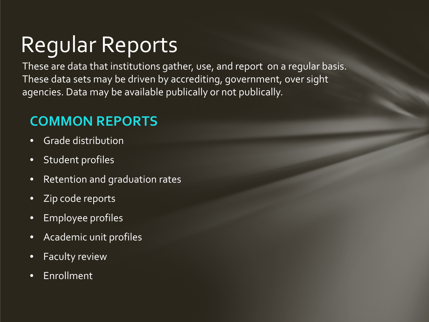# Regular Reports

These are data that institutions gather, use, and report on a regular basis. These data sets may be driven by accrediting, government, over sight agencies. Data may be available publically or not publically.

#### **COMMON REPORTS**

- Grade distribution
- Student profiles
- Retention and graduation rates
- Zip code reports
- Employee profiles
- Academic unit profiles
- Faculty review
- Enrollment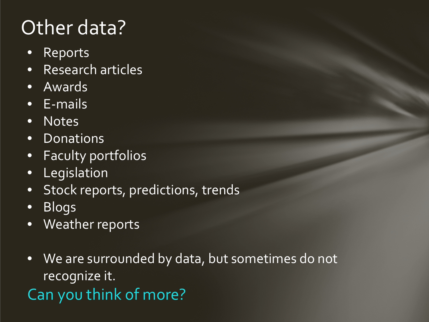### Other data?

- Reports
- Research articles
- Awards
- E-mails
- Notes
- Donations
- Faculty portfolios
- Legislation
- Stock reports, predictions, trends
- Blogs
- Weather reports
- We are surrounded by data, but sometimes do not recognize it.

Can you think of more?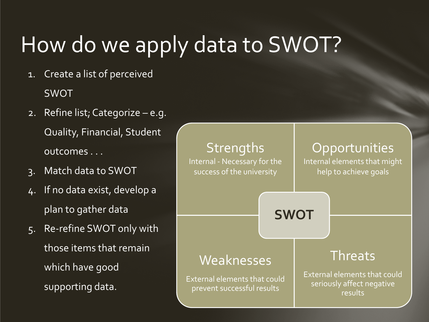# How do we apply data to SWOT?

- 1. Create a list of perceived SWOT
- 2. Refine list; Categorize e.g. Quality, Financial, Student outcomes . . .
- 3. Match data to SWOT
- 4. If no data exist, develop a plan to gather data
- 5. Re-refine SWOT only with those items that remain which have good supporting data.

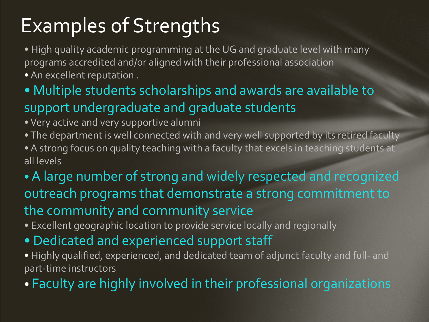### Examples of Strengths

• High quality academic programming at the UG and graduate level with many programs accredited and/or aligned with their professional association • An excellent reputation .

- Multiple students scholarships and awards are available to support undergraduate and graduate students
- Very active and very supportive alumni
- The department is well connected with and very well supported by its retired faculty • A strong focus on quality teaching with a faculty that excels in teaching students at all levels
- •A large number of strong and widely respected and recognized outreach programs that demonstrate a strong commitment to the community and community service
- Excellent geographic location to provide service locally and regionally
- Dedicated and experienced support staff
- Highly qualified, experienced, and dedicated team of adjunct faculty and full- and part-time instructors

• Faculty are highly involved in their professional organizations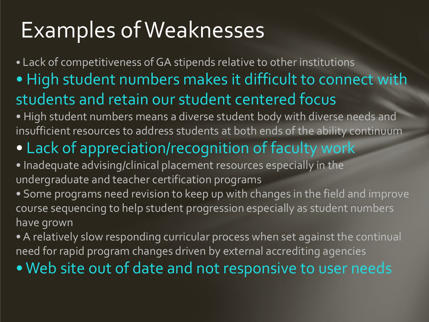# Examples of Weaknesses

• Lack of competitiveness of GA stipends relative to other institutions • High student numbers makes it difficult to connect with students and retain our student centered focus • High student numbers means a diverse student body with diverse needs and

insufficient resources to address students at both ends of the ability continuum

### • Lack of appreciation/recognition of faculty work

- Inadequate advising/clinical placement resources especially in the undergraduate and teacher certification programs
- Some programs need revision to keep up with changes in the field and improve course sequencing to help student progression especially as student numbers have grown
- A relatively slow responding curricular process when set against the continual need for rapid program changes driven by external accrediting agencies
- Web site out of date and not responsive to user needs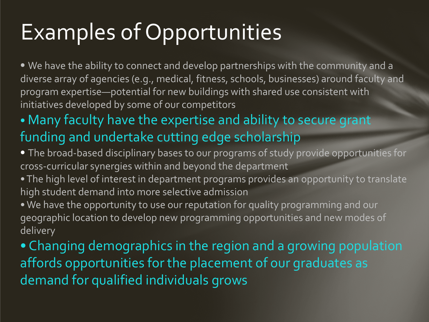# Examples of Opportunities

• We have the ability to connect and develop partnerships with the community and a diverse array of agencies (e.g., medical, fitness, schools, businesses) around faculty and program expertise—potential for new buildings with shared use consistent with initiatives developed by some of our competitors

#### • Many faculty have the expertise and ability to secure grant funding and undertake cutting edge scholarship

- The broad-based disciplinary bases to our programs of study provide opportunities for cross-curricular synergies within and beyond the department
- The high level of interest in department programs provides an opportunity to translate high student demand into more selective admission
- We have the opportunity to use our reputation for quality programming and our geographic location to develop new programming opportunities and new modes of delivery

• Changing demographics in the region and a growing population affords opportunities for the placement of our graduates as demand for qualified individuals grows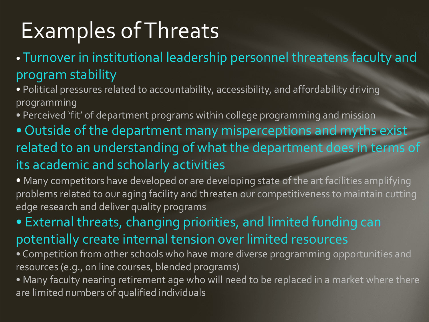# Examples of Threats

#### • Turnover in institutional leadership personnel threatens faculty and program stability

• Political pressures related to accountability, accessibility, and affordability driving programming

• Perceived 'fit' of department programs within college programming and mission

• Outside of the department many misperceptions and myths exist related to an understanding of what the department does in terms of its academic and scholarly activities

• Many competitors have developed or are developing state of the art facilities amplifying problems related to our aging facility and threaten our competitiveness to maintain cutting edge research and deliver quality programs

• External threats, changing priorities, and limited funding can potentially create internal tension over limited resources

• Competition from other schools who have more diverse programming opportunities and resources (e.g., on line courses, blended programs)

• Many faculty nearing retirement age who will need to be replaced in a market where there are limited numbers of qualified individuals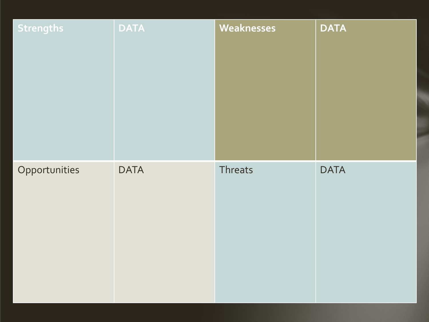| <b>Strengths</b> | <b>DATA</b> | Weaknesses | <b>DATA</b> |
|------------------|-------------|------------|-------------|
| Opportunities    | <b>DATA</b> | Threats    | <b>DATA</b> |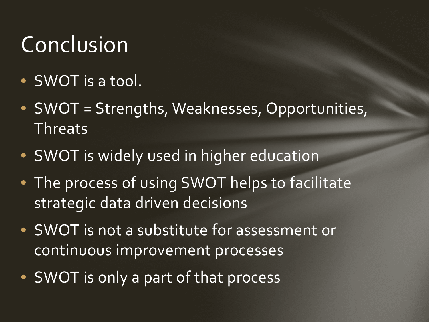# Conclusion

- SWOT is a tool.
- SWOT = Strengths, Weaknesses, Opportunities, Threats
- SWOT is widely used in higher education
- The process of using SWOT helps to facilitate strategic data driven decisions
- SWOT is not a substitute for assessment or continuous improvement processes
- SWOT is only a part of that process